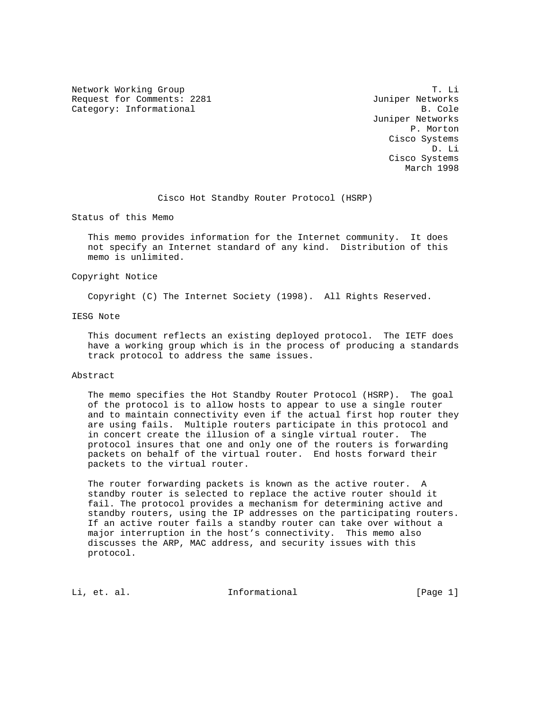Network Working Group T. Li Request for Comments: 2281 Juniper Networks Category: Informational B. Cole

 Juniper Networks P. Morton Cisco Systems D. Li Cisco Systems March 1998

Cisco Hot Standby Router Protocol (HSRP)

Status of this Memo

 This memo provides information for the Internet community. It does not specify an Internet standard of any kind. Distribution of this memo is unlimited.

# Copyright Notice

Copyright (C) The Internet Society (1998). All Rights Reserved.

# IESG Note

 This document reflects an existing deployed protocol. The IETF does have a working group which is in the process of producing a standards track protocol to address the same issues.

### Abstract

 The memo specifies the Hot Standby Router Protocol (HSRP). The goal of the protocol is to allow hosts to appear to use a single router and to maintain connectivity even if the actual first hop router they are using fails. Multiple routers participate in this protocol and in concert create the illusion of a single virtual router. The protocol insures that one and only one of the routers is forwarding packets on behalf of the virtual router. End hosts forward their packets to the virtual router.

The router forwarding packets is known as the active router. A standby router is selected to replace the active router should it fail. The protocol provides a mechanism for determining active and standby routers, using the IP addresses on the participating routers. If an active router fails a standby router can take over without a major interruption in the host's connectivity. This memo also discusses the ARP, MAC address, and security issues with this protocol.

Li, et. al. 11. Informational 1. [Page 1]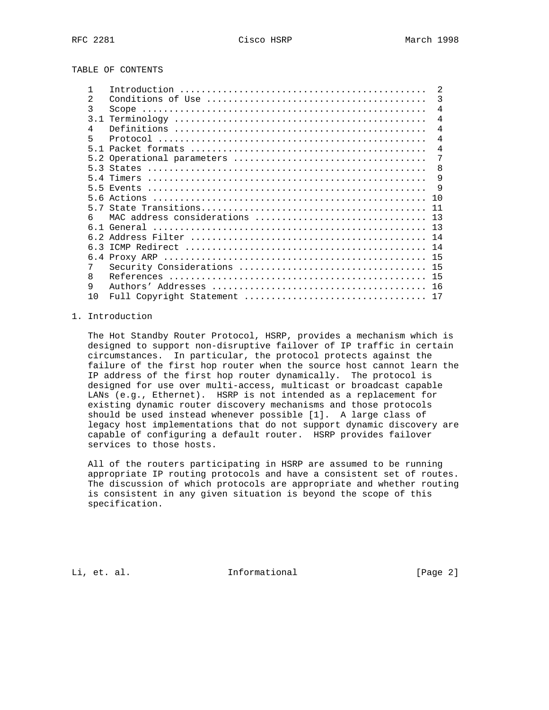TABLE OF CONTENTS

|    |                                | $\mathfrak{D}$ |
|----|--------------------------------|----------------|
| 2  |                                | 3              |
| 3  |                                | $\overline{4}$ |
|    |                                | $\overline{4}$ |
| 4  |                                | $\overline{4}$ |
| 5  |                                | $\overline{4}$ |
|    |                                | $\overline{4}$ |
|    |                                | 7              |
|    |                                | -8             |
|    |                                | 9              |
|    |                                | - 9            |
|    |                                | 10             |
|    |                                | 11             |
| 6  | MAC address considerations  13 |                |
|    |                                |                |
|    |                                |                |
|    |                                | 14             |
|    |                                |                |
| 7  |                                |                |
| 8  |                                |                |
| 9  |                                |                |
| 10 | Full Copyright Statement       | 17             |
|    |                                |                |

# 1. Introduction

 The Hot Standby Router Protocol, HSRP, provides a mechanism which is designed to support non-disruptive failover of IP traffic in certain circumstances. In particular, the protocol protects against the failure of the first hop router when the source host cannot learn the IP address of the first hop router dynamically. The protocol is designed for use over multi-access, multicast or broadcast capable LANs (e.g., Ethernet). HSRP is not intended as a replacement for existing dynamic router discovery mechanisms and those protocols should be used instead whenever possible [1]. A large class of legacy host implementations that do not support dynamic discovery are capable of configuring a default router. HSRP provides failover services to those hosts.

 All of the routers participating in HSRP are assumed to be running appropriate IP routing protocols and have a consistent set of routes. The discussion of which protocols are appropriate and whether routing is consistent in any given situation is beyond the scope of this specification.

Li, et. al. 11. Informational 1. [Page 2]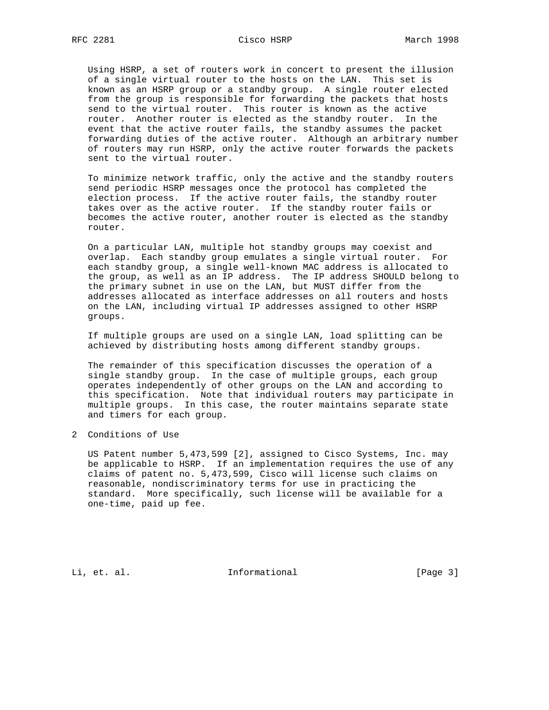Using HSRP, a set of routers work in concert to present the illusion of a single virtual router to the hosts on the LAN. This set is known as an HSRP group or a standby group. A single router elected from the group is responsible for forwarding the packets that hosts send to the virtual router. This router is known as the active router. Another router is elected as the standby router. In the event that the active router fails, the standby assumes the packet forwarding duties of the active router. Although an arbitrary number of routers may run HSRP, only the active router forwards the packets sent to the virtual router.

 To minimize network traffic, only the active and the standby routers send periodic HSRP messages once the protocol has completed the election process. If the active router fails, the standby router takes over as the active router. If the standby router fails or becomes the active router, another router is elected as the standby router.

 On a particular LAN, multiple hot standby groups may coexist and overlap. Each standby group emulates a single virtual router. For each standby group, a single well-known MAC address is allocated to the group, as well as an IP address. The IP address SHOULD belong to the primary subnet in use on the LAN, but MUST differ from the addresses allocated as interface addresses on all routers and hosts on the LAN, including virtual IP addresses assigned to other HSRP groups.

 If multiple groups are used on a single LAN, load splitting can be achieved by distributing hosts among different standby groups.

 The remainder of this specification discusses the operation of a single standby group. In the case of multiple groups, each group operates independently of other groups on the LAN and according to this specification. Note that individual routers may participate in multiple groups. In this case, the router maintains separate state and timers for each group.

2 Conditions of Use

 US Patent number 5,473,599 [2], assigned to Cisco Systems, Inc. may be applicable to HSRP. If an implementation requires the use of any claims of patent no. 5,473,599, Cisco will license such claims on reasonable, nondiscriminatory terms for use in practicing the standard. More specifically, such license will be available for a one-time, paid up fee.

Li, et. al. 11. Informational 1. [Page 3]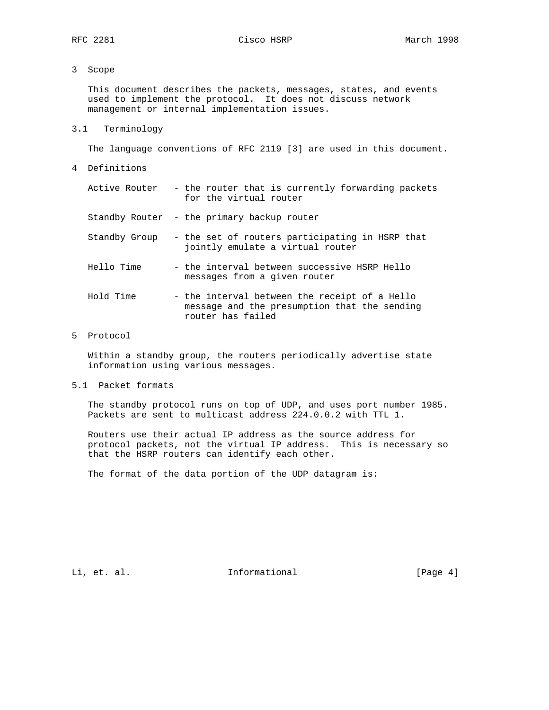# 3 Scope

 This document describes the packets, messages, states, and events used to implement the protocol. It does not discuss network management or internal implementation issues.

3.1 Terminology

The language conventions of RFC 2119 [3] are used in this document.

4 Definitions

|  |  |  |  |                        |  | Active Router - the router that is currently forwarding packets |  |
|--|--|--|--|------------------------|--|-----------------------------------------------------------------|--|
|  |  |  |  | for the virtual router |  |                                                                 |  |
|  |  |  |  |                        |  |                                                                 |  |

Standby Router - the primary backup router

- Standby Group the set of routers participating in HSRP that jointly emulate a virtual router
- Hello Time the interval between successive HSRP Hello messages from a given router
- Hold Time the interval between the receipt of a Hello message and the presumption that the sending router has failed
- 5 Protocol

 Within a standby group, the routers periodically advertise state information using various messages.

5.1 Packet formats

 The standby protocol runs on top of UDP, and uses port number 1985. Packets are sent to multicast address 224.0.0.2 with TTL 1.

 Routers use their actual IP address as the source address for protocol packets, not the virtual IP address. This is necessary so that the HSRP routers can identify each other.

The format of the data portion of the UDP datagram is:

Li, et. al. 11. Informational 1. [Page 4]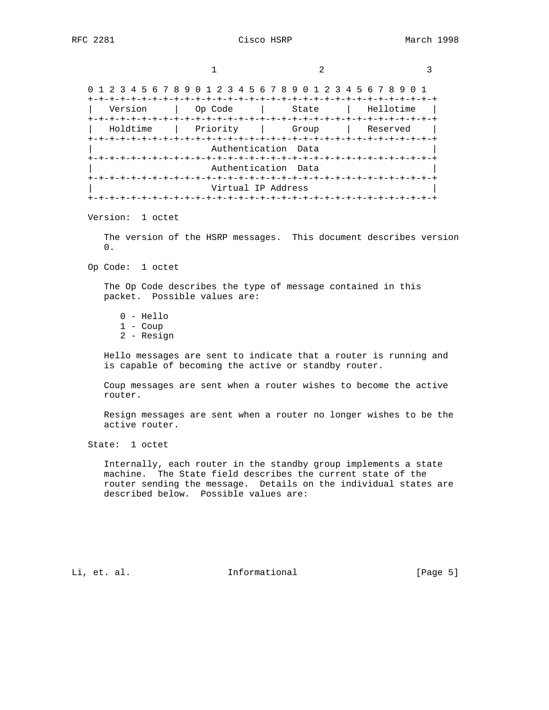1 2 3 0 1 2 3 4 5 6 7 8 9 0 1 2 3 4 5 6 7 8 9 0 1 2 3 4 5 6 7 8 9 0 1 +-+-+-+-+-+-+-+-+-+-+-+-+-+-+-+-+-+-+-+-+-+-+-+-+-+-+-+-+-+-+-+-+ | Version | Op Code | State | Hellotime | +-+-+-+-+-+-+-+-+-+-+-+-+-+-+-+-+-+-+-+-+-+-+-+-+-+-+-+-+-+-+-+-+ | Holdtime | Priority | Group | Reserved | +-+-+-+-+-+-+-+-+-+-+-+-+-+-+-+-+-+-+-+-+-+-+-+-+-+-+-+-+-+-+-+-+ Authentication Data +-+-+-+-+-+-+-+-+-+-+-+-+-+-+-+-+-+-+-+-+-+-+-+-+-+-+-+-+-+-+-+-+ Authentication Data +-+-+-+-+-+-+-+-+-+-+-+-+-+-+-+-+-+-+-+-+-+-+-+-+-+-+-+-+-+-+-+-+ Virtual IP Address +-+-+-+-+-+-+-+-+-+-+-+-+-+-+-+-+-+-+-+-+-+-+-+-+-+-+-+-+-+-+-+-+

Version: 1 octet

 The version of the HSRP messages. This document describes version  $\Omega$ .

Op Code: 1 octet

 The Op Code describes the type of message contained in this packet. Possible values are:

 0 - Hello 1 - Coup 2 - Resign

 Hello messages are sent to indicate that a router is running and is capable of becoming the active or standby router.

 Coup messages are sent when a router wishes to become the active router.

 Resign messages are sent when a router no longer wishes to be the active router.

State: 1 octet

 Internally, each router in the standby group implements a state machine. The State field describes the current state of the router sending the message. Details on the individual states are described below. Possible values are:

Li, et. al. 11. Informational 1. [Page 5]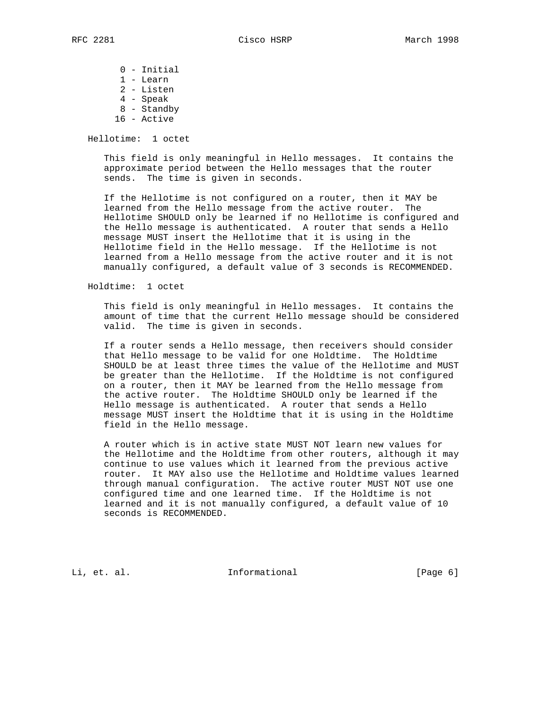0 - Initial 1 - Learn 2 - Listen 4 - Speak 8 - Standby 16 - Active

Hellotime: 1 octet

 This field is only meaningful in Hello messages. It contains the approximate period between the Hello messages that the router sends. The time is given in seconds.

 If the Hellotime is not configured on a router, then it MAY be learned from the Hello message from the active router. The Hellotime SHOULD only be learned if no Hellotime is configured and the Hello message is authenticated. A router that sends a Hello message MUST insert the Hellotime that it is using in the Hellotime field in the Hello message. If the Hellotime is not learned from a Hello message from the active router and it is not manually configured, a default value of 3 seconds is RECOMMENDED.

Holdtime: 1 octet

 This field is only meaningful in Hello messages. It contains the amount of time that the current Hello message should be considered valid. The time is given in seconds.

 If a router sends a Hello message, then receivers should consider that Hello message to be valid for one Holdtime. The Holdtime SHOULD be at least three times the value of the Hellotime and MUST be greater than the Hellotime. If the Holdtime is not configured on a router, then it MAY be learned from the Hello message from the active router. The Holdtime SHOULD only be learned if the Hello message is authenticated. A router that sends a Hello message MUST insert the Holdtime that it is using in the Holdtime field in the Hello message.

 A router which is in active state MUST NOT learn new values for the Hellotime and the Holdtime from other routers, although it may continue to use values which it learned from the previous active router. It MAY also use the Hellotime and Holdtime values learned through manual configuration. The active router MUST NOT use one configured time and one learned time. If the Holdtime is not learned and it is not manually configured, a default value of 10 seconds is RECOMMENDED.

Li, et. al. 10. Informational 1. [Page 6]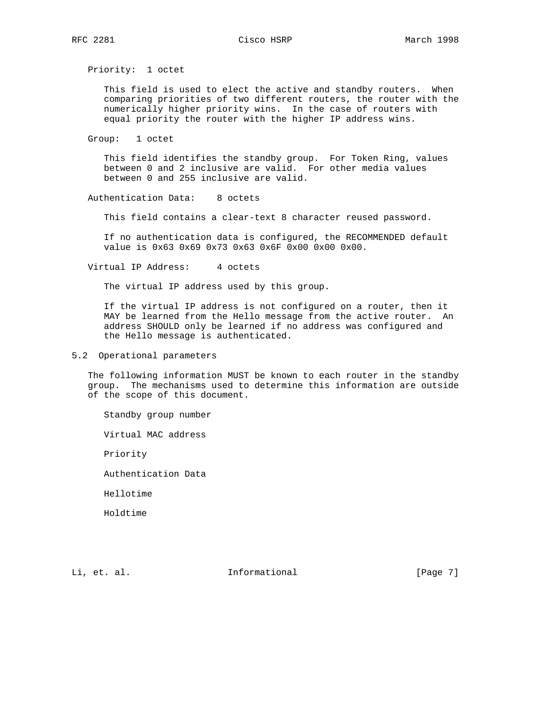Priority: 1 octet

 This field is used to elect the active and standby routers. When comparing priorities of two different routers, the router with the numerically higher priority wins. In the case of routers with equal priority the router with the higher IP address wins.

Group: 1 octet

 This field identifies the standby group. For Token Ring, values between 0 and 2 inclusive are valid. For other media values between 0 and 255 inclusive are valid.

Authentication Data: 8 octets

This field contains a clear-text 8 character reused password.

 If no authentication data is configured, the RECOMMENDED default value is 0x63 0x69 0x73 0x63 0x6F 0x00 0x00 0x00.

Virtual IP Address: 4 octets

The virtual IP address used by this group.

 If the virtual IP address is not configured on a router, then it MAY be learned from the Hello message from the active router. An address SHOULD only be learned if no address was configured and the Hello message is authenticated.

5.2 Operational parameters

 The following information MUST be known to each router in the standby group. The mechanisms used to determine this information are outside of the scope of this document.

Standby group number

Virtual MAC address

Priority

Authentication Data

Hellotime

Holdtime

Li, et. al. 11. Informational 1. [Page 7]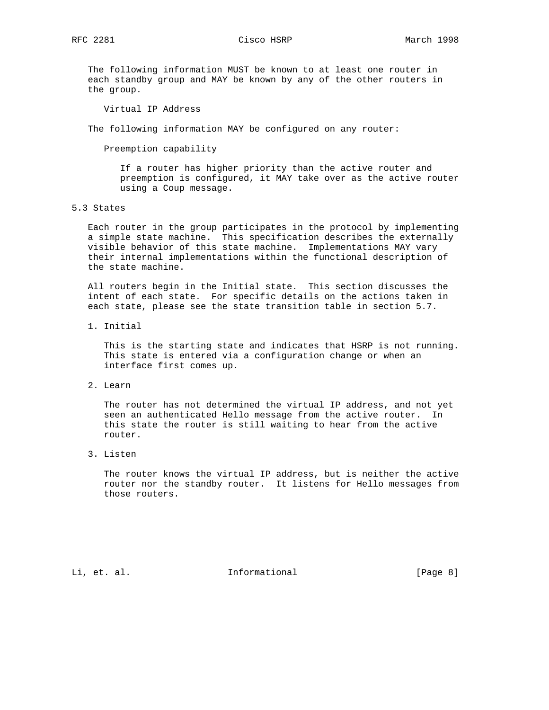The following information MUST be known to at least one router in each standby group and MAY be known by any of the other routers in the group.

Virtual IP Address

The following information MAY be configured on any router:

Preemption capability

 If a router has higher priority than the active router and preemption is configured, it MAY take over as the active router using a Coup message.

# 5.3 States

 Each router in the group participates in the protocol by implementing a simple state machine. This specification describes the externally visible behavior of this state machine. Implementations MAY vary their internal implementations within the functional description of the state machine.

 All routers begin in the Initial state. This section discusses the intent of each state. For specific details on the actions taken in each state, please see the state transition table in section 5.7.

1. Initial

 This is the starting state and indicates that HSRP is not running. This state is entered via a configuration change or when an interface first comes up.

2. Learn

 The router has not determined the virtual IP address, and not yet seen an authenticated Hello message from the active router. In this state the router is still waiting to hear from the active router.

3. Listen

 The router knows the virtual IP address, but is neither the active router nor the standby router. It listens for Hello messages from those routers.

Li, et. al. 11. Informational 1. [Page 8]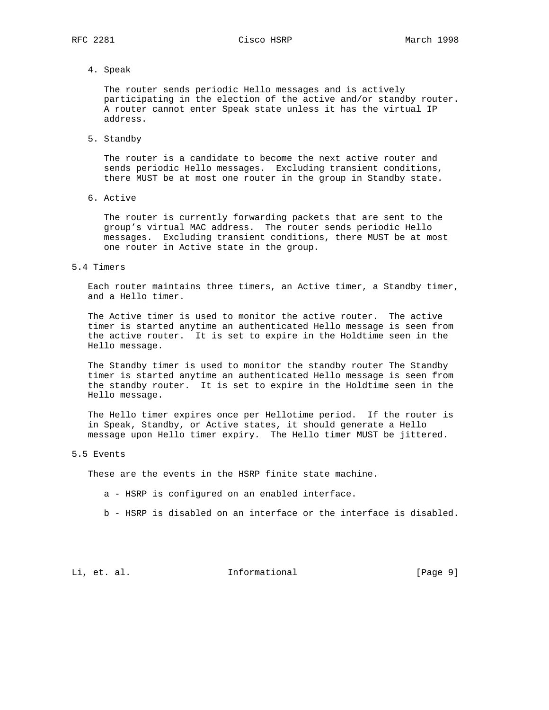4. Speak

 The router sends periodic Hello messages and is actively participating in the election of the active and/or standby router. A router cannot enter Speak state unless it has the virtual IP address.

5. Standby

 The router is a candidate to become the next active router and sends periodic Hello messages. Excluding transient conditions, there MUST be at most one router in the group in Standby state.

6. Active

 The router is currently forwarding packets that are sent to the group's virtual MAC address. The router sends periodic Hello messages. Excluding transient conditions, there MUST be at most one router in Active state in the group.

5.4 Timers

 Each router maintains three timers, an Active timer, a Standby timer, and a Hello timer.

 The Active timer is used to monitor the active router. The active timer is started anytime an authenticated Hello message is seen from the active router. It is set to expire in the Holdtime seen in the Hello message.

 The Standby timer is used to monitor the standby router The Standby timer is started anytime an authenticated Hello message is seen from the standby router. It is set to expire in the Holdtime seen in the Hello message.

 The Hello timer expires once per Hellotime period. If the router is in Speak, Standby, or Active states, it should generate a Hello message upon Hello timer expiry. The Hello timer MUST be jittered.

# 5.5 Events

These are the events in the HSRP finite state machine.

- a HSRP is configured on an enabled interface.
- b HSRP is disabled on an interface or the interface is disabled.

Li, et. al. 11. Informational 1. [Page 9]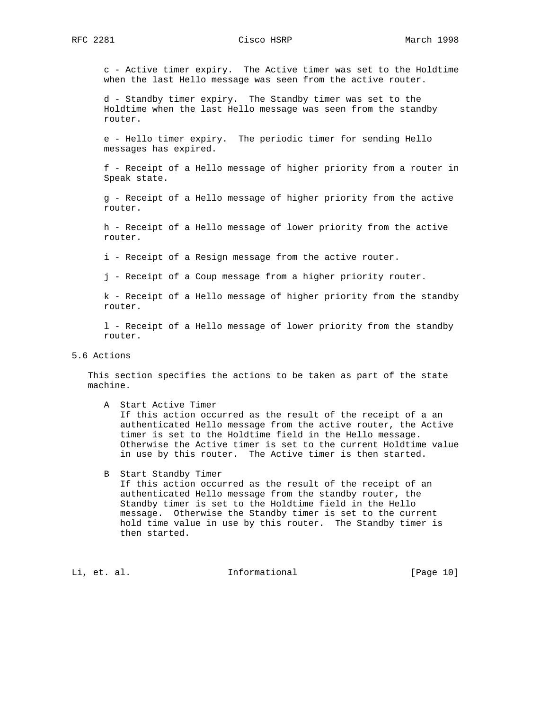RFC 2281 Cisco HSRP March 1998

 c - Active timer expiry. The Active timer was set to the Holdtime when the last Hello message was seen from the active router.

 d - Standby timer expiry. The Standby timer was set to the Holdtime when the last Hello message was seen from the standby router.

 e - Hello timer expiry. The periodic timer for sending Hello messages has expired.

 f - Receipt of a Hello message of higher priority from a router in Speak state.

 g - Receipt of a Hello message of higher priority from the active router.

 h - Receipt of a Hello message of lower priority from the active router.

i - Receipt of a Resign message from the active router.

j - Receipt of a Coup message from a higher priority router.

 k - Receipt of a Hello message of higher priority from the standby router.

 l - Receipt of a Hello message of lower priority from the standby router.

5.6 Actions

 This section specifies the actions to be taken as part of the state machine.

 A Start Active Timer If this action occurred as the result of the receipt of a an authenticated Hello message from the active router, the Active timer is set to the Holdtime field in the Hello message. Otherwise the Active timer is set to the current Holdtime value in use by this router. The Active timer is then started.

 B Start Standby Timer If this action occurred as the result of the receipt of an authenticated Hello message from the standby router, the Standby timer is set to the Holdtime field in the Hello message. Otherwise the Standby timer is set to the current hold time value in use by this router. The Standby timer is then started.

Li, et. al. 10. Informational 1. [Page 10]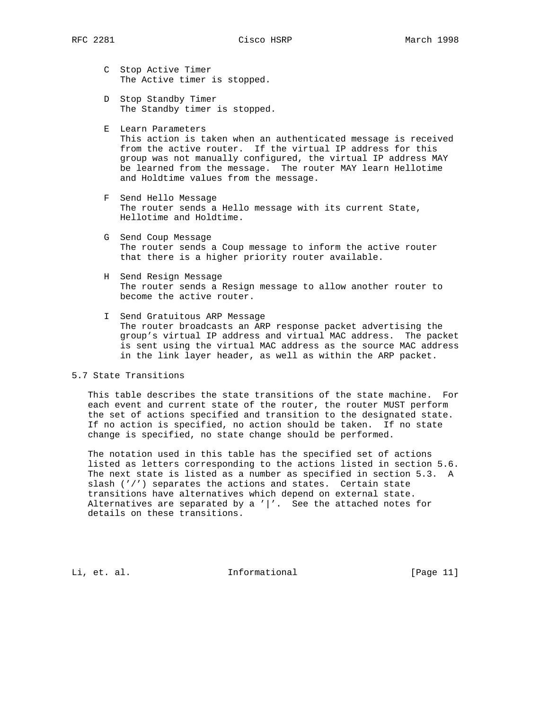- C Stop Active Timer The Active timer is stopped.
- D Stop Standby Timer The Standby timer is stopped.
- E Learn Parameters This action is taken when an authenticated message is received from the active router. If the virtual IP address for this group was not manually configured, the virtual IP address MAY be learned from the message. The router MAY learn Hellotime and Holdtime values from the message.
- F Send Hello Message The router sends a Hello message with its current State, Hellotime and Holdtime.
- G Send Coup Message The router sends a Coup message to inform the active router that there is a higher priority router available.
- H Send Resign Message The router sends a Resign message to allow another router to become the active router.
- I Send Gratuitous ARP Message The router broadcasts an ARP response packet advertising the group's virtual IP address and virtual MAC address. The packet is sent using the virtual MAC address as the source MAC address in the link layer header, as well as within the ARP packet.

5.7 State Transitions

 This table describes the state transitions of the state machine. For each event and current state of the router, the router MUST perform the set of actions specified and transition to the designated state. If no action is specified, no action should be taken. If no state change is specified, no state change should be performed.

 The notation used in this table has the specified set of actions listed as letters corresponding to the actions listed in section 5.6. The next state is listed as a number as specified in section 5.3. A slash ('/') separates the actions and states. Certain state transitions have alternatives which depend on external state. Alternatives are separated by a  $\prime$   $\prime$  . See the attached notes for details on these transitions.

Li, et. al. 10. Informational 1. [Page 11]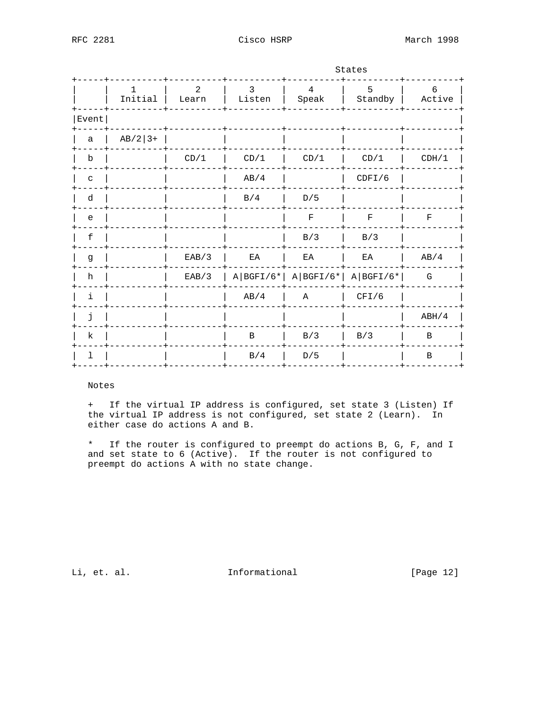|              |               |            |                            | States                           |              |              |  |  |  |  |
|--------------|---------------|------------|----------------------------|----------------------------------|--------------|--------------|--|--|--|--|
|              | ı.<br>Initial | 2<br>Learn | 3<br>Listen                | $\overline{4}$<br>Speak          | 5<br>Standby | 6<br>Active  |  |  |  |  |
| Event        |               |            |                            |                                  |              |              |  |  |  |  |
| a            | $AB/2$ 3+     |            |                            |                                  |              |              |  |  |  |  |
| $\mathbf b$  |               | CD/1       | CD/1                       | CD/1                             | CD/1         | CDH/1        |  |  |  |  |
| $\mathtt{C}$ |               |            | AB/4                       |                                  | CDFI/6       |              |  |  |  |  |
| d            |               |            | B/4                        | D/5                              |              |              |  |  |  |  |
| e            |               |            |                            | $\rm F$                          | $\mathbf F$  | $\mathbf F$  |  |  |  |  |
| f            |               |            |                            | B/3                              | B/3          |              |  |  |  |  |
| g            |               | EAB/3      | $\mathop{\rm EA}\nolimits$ | EA                               | ΕA           | AB/4         |  |  |  |  |
| h            |               | EAB/3      |                            | $A BGFI/6* A BGFI/6* A BGFI/6* $ |              | G            |  |  |  |  |
| i            |               |            | AB/4                       | Α                                | CFI/6        |              |  |  |  |  |
| j.           |               |            |                            |                                  |              | ABH/4        |  |  |  |  |
| k            |               |            | $\, {\bf B}$               | B/3                              | B/3          | $\, {\bf B}$ |  |  |  |  |
| ı            |               |            | B/4                        | D/5                              |              | $\, {\bf B}$ |  |  |  |  |

Notes

+ If the virtual IP address is configured, set state 3 (Listen) If the virtual IP address is not configured, set state 2 (Learn). In either case do actions A and B.

\* If the router is configured to preempt do actions B, G, F, and I and set state to 6 (Active). If the router is not configured to preempt do actions A with no state change.

Li, et. al.

Informational

[Page 12]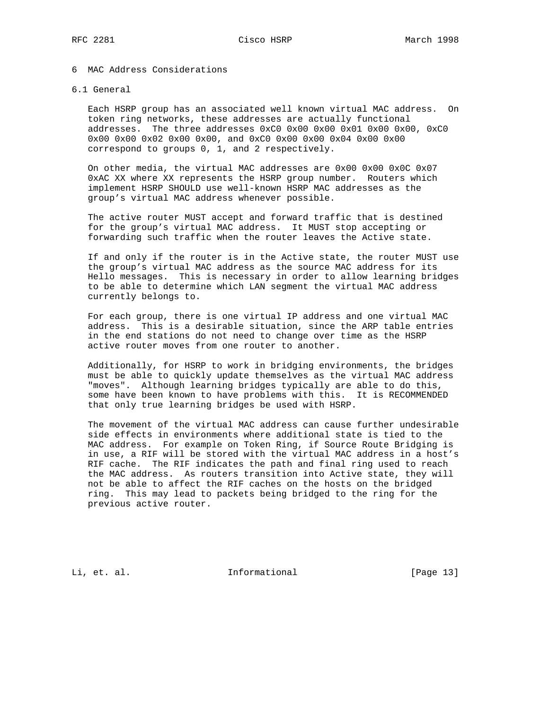# 6 MAC Address Considerations

### 6.1 General

 Each HSRP group has an associated well known virtual MAC address. On token ring networks, these addresses are actually functional addresses. The three addresses 0xC0 0x00 0x00 0x01 0x00 0x00, 0xC0 0x00 0x00 0x02 0x00 0x00, and 0xC0 0x00 0x00 0x04 0x00 0x00 correspond to groups 0, 1, and 2 respectively.

 On other media, the virtual MAC addresses are 0x00 0x00 0x0C 0x07 0xAC XX where XX represents the HSRP group number. Routers which implement HSRP SHOULD use well-known HSRP MAC addresses as the group's virtual MAC address whenever possible.

 The active router MUST accept and forward traffic that is destined for the group's virtual MAC address. It MUST stop accepting or forwarding such traffic when the router leaves the Active state.

 If and only if the router is in the Active state, the router MUST use the group's virtual MAC address as the source MAC address for its Hello messages. This is necessary in order to allow learning bridges to be able to determine which LAN segment the virtual MAC address currently belongs to.

 For each group, there is one virtual IP address and one virtual MAC address. This is a desirable situation, since the ARP table entries in the end stations do not need to change over time as the HSRP active router moves from one router to another.

 Additionally, for HSRP to work in bridging environments, the bridges must be able to quickly update themselves as the virtual MAC address "moves". Although learning bridges typically are able to do this, some have been known to have problems with this. It is RECOMMENDED that only true learning bridges be used with HSRP.

 The movement of the virtual MAC address can cause further undesirable side effects in environments where additional state is tied to the MAC address. For example on Token Ring, if Source Route Bridging is in use, a RIF will be stored with the virtual MAC address in a host's RIF cache. The RIF indicates the path and final ring used to reach the MAC address. As routers transition into Active state, they will not be able to affect the RIF caches on the hosts on the bridged ring. This may lead to packets being bridged to the ring for the previous active router.

Li, et. al. 10. Informational 1. [Page 13]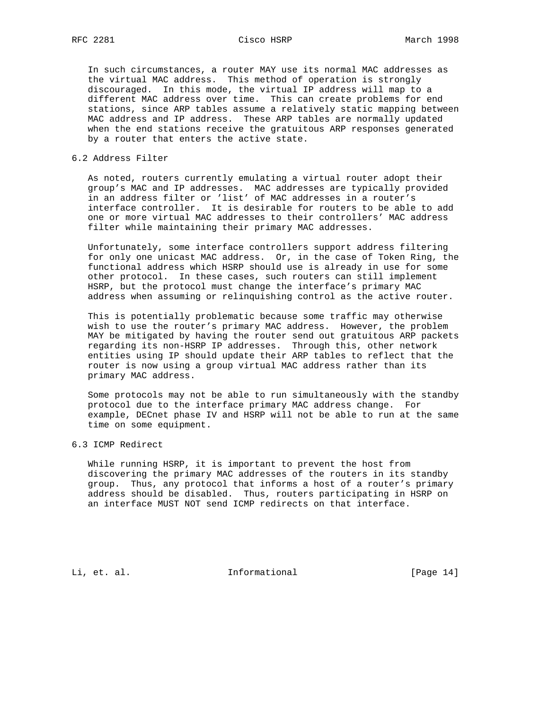In such circumstances, a router MAY use its normal MAC addresses as the virtual MAC address. This method of operation is strongly discouraged. In this mode, the virtual IP address will map to a different MAC address over time. This can create problems for end stations, since ARP tables assume a relatively static mapping between MAC address and IP address. These ARP tables are normally updated when the end stations receive the gratuitous ARP responses generated by a router that enters the active state.

6.2 Address Filter

 As noted, routers currently emulating a virtual router adopt their group's MAC and IP addresses. MAC addresses are typically provided in an address filter or 'list' of MAC addresses in a router's interface controller. It is desirable for routers to be able to add one or more virtual MAC addresses to their controllers' MAC address filter while maintaining their primary MAC addresses.

 Unfortunately, some interface controllers support address filtering for only one unicast MAC address. Or, in the case of Token Ring, the functional address which HSRP should use is already in use for some other protocol. In these cases, such routers can still implement HSRP, but the protocol must change the interface's primary MAC address when assuming or relinquishing control as the active router.

 This is potentially problematic because some traffic may otherwise wish to use the router's primary MAC address. However, the problem MAY be mitigated by having the router send out gratuitous ARP packets regarding its non-HSRP IP addresses. Through this, other network entities using IP should update their ARP tables to reflect that the router is now using a group virtual MAC address rather than its primary MAC address.

 Some protocols may not be able to run simultaneously with the standby protocol due to the interface primary MAC address change. For example, DECnet phase IV and HSRP will not be able to run at the same time on some equipment.

6.3 ICMP Redirect

 While running HSRP, it is important to prevent the host from discovering the primary MAC addresses of the routers in its standby group. Thus, any protocol that informs a host of a router's primary address should be disabled. Thus, routers participating in HSRP on an interface MUST NOT send ICMP redirects on that interface.

Li, et. al. 11. Informational [Page 14]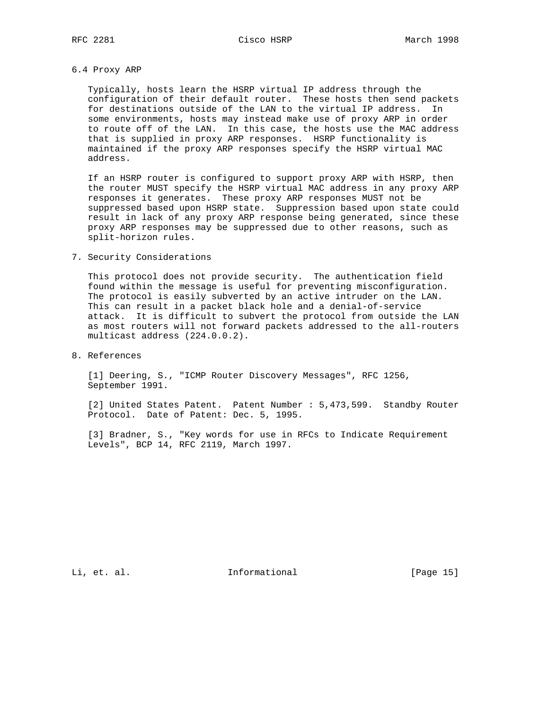### 6.4 Proxy ARP

 Typically, hosts learn the HSRP virtual IP address through the configuration of their default router. These hosts then send packets for destinations outside of the LAN to the virtual IP address. In some environments, hosts may instead make use of proxy ARP in order to route off of the LAN. In this case, the hosts use the MAC address that is supplied in proxy ARP responses. HSRP functionality is maintained if the proxy ARP responses specify the HSRP virtual MAC address.

 If an HSRP router is configured to support proxy ARP with HSRP, then the router MUST specify the HSRP virtual MAC address in any proxy ARP responses it generates. These proxy ARP responses MUST not be suppressed based upon HSRP state. Suppression based upon state could result in lack of any proxy ARP response being generated, since these proxy ARP responses may be suppressed due to other reasons, such as split-horizon rules.

### 7. Security Considerations

 This protocol does not provide security. The authentication field found within the message is useful for preventing misconfiguration. The protocol is easily subverted by an active intruder on the LAN. This can result in a packet black hole and a denial-of-service attack. It is difficult to subvert the protocol from outside the LAN as most routers will not forward packets addressed to the all-routers multicast address (224.0.0.2).

8. References

 [1] Deering, S., "ICMP Router Discovery Messages", RFC 1256, September 1991.

 [2] United States Patent. Patent Number : 5,473,599. Standby Router Protocol. Date of Patent: Dec. 5, 1995.

 [3] Bradner, S., "Key words for use in RFCs to Indicate Requirement Levels", BCP 14, RFC 2119, March 1997.

Li, et. al. 10. Informational 1. [Page 15]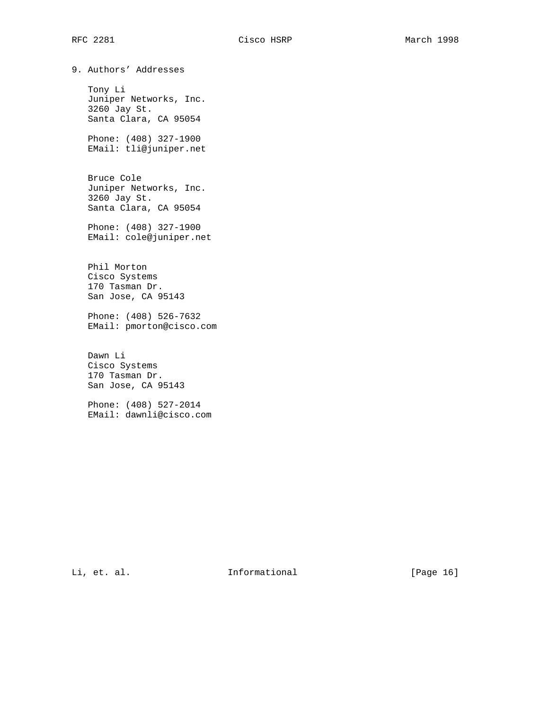9. Authors' Addresses Tony Li Juniper Networks, Inc. 3260 Jay St. Santa Clara, CA 95054 Phone: (408) 327-1900 EMail: tli@juniper.net Bruce Cole Juniper Networks, Inc. 3260 Jay St. Santa Clara, CA 95054 Phone: (408) 327-1900 EMail: cole@juniper.net Phil Morton Cisco Systems 170 Tasman Dr. San Jose, CA 95143 Phone: (408) 526-7632 EMail: pmorton@cisco.com Dawn Li Cisco Systems 170 Tasman Dr. San Jose, CA 95143 Phone: (408) 527-2014 EMail: dawnli@cisco.com

Li, et. al. 10. Informational 1. [Page 16]